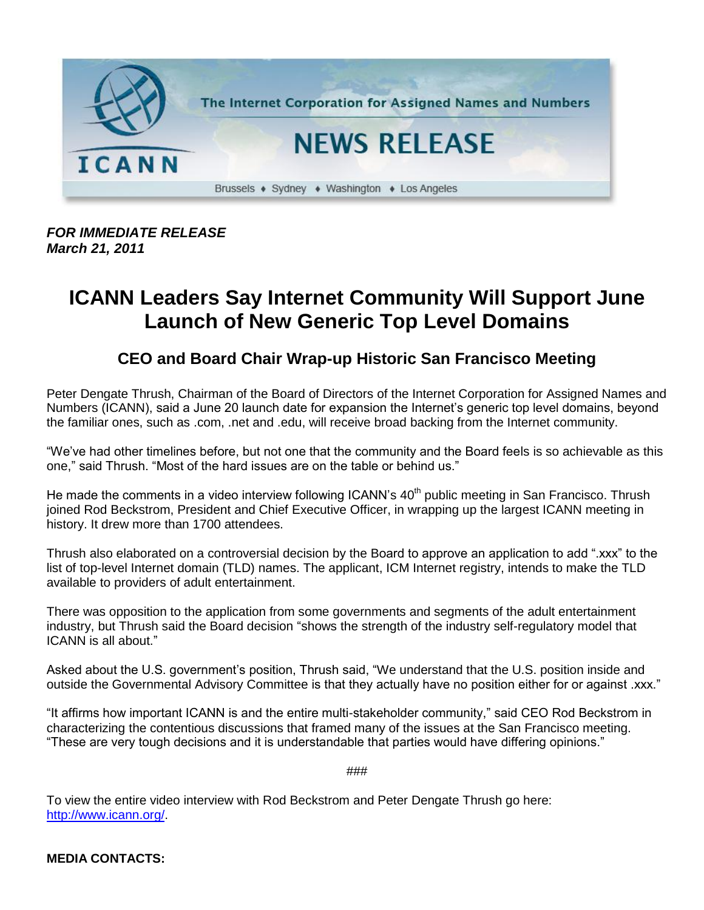

*FOR IMMEDIATE RELEASE March 21, 2011*

## **ICANN Leaders Say Internet Community Will Support June Launch of New Generic Top Level Domains**

## **CEO and Board Chair Wrap-up Historic San Francisco Meeting**

Peter Dengate Thrush, Chairman of the Board of Directors of the Internet Corporation for Assigned Names and Numbers (ICANN), said a June 20 launch date for expansion the Internet's generic top level domains, beyond the familiar ones, such as .com, .net and .edu, will receive broad backing from the Internet community.

"We've had other timelines before, but not one that the community and the Board feels is so achievable as this one," said Thrush. "Most of the hard issues are on the table or behind us."

He made the comments in a video interview following ICANN's  $40<sup>th</sup>$  public meeting in San Francisco. Thrush joined Rod Beckstrom, President and Chief Executive Officer, in wrapping up the largest ICANN meeting in history. It drew more than 1700 attendees.

Thrush also elaborated on a controversial decision by the Board to approve an application to add ".xxx" to the list of top-level Internet domain (TLD) names. The applicant, ICM Internet registry, intends to make the TLD available to providers of adult entertainment.

There was opposition to the application from some governments and segments of the adult entertainment industry, but Thrush said the Board decision "shows the strength of the industry self-regulatory model that ICANN is all about."

Asked about the U.S. government's position, Thrush said, "We understand that the U.S. position inside and outside the Governmental Advisory Committee is that they actually have no position either for or against .xxx."

"It affirms how important ICANN is and the entire multi-stakeholder community," said CEO Rod Beckstrom in characterizing the contentious discussions that framed many of the issues at the San Francisco meeting. "These are very tough decisions and it is understandable that parties would have differing opinions."

###

To view the entire video interview with Rod Beckstrom and Peter Dengate Thrush go here: [http://www.icann.org/.](http://www.icann.org/)

**MEDIA CONTACTS:**